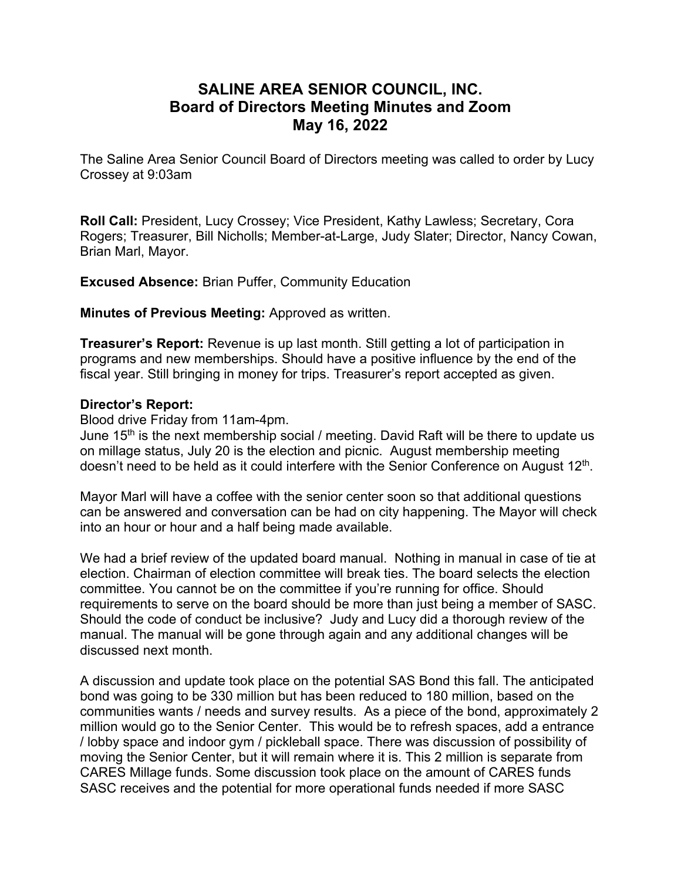## **SALINE AREA SENIOR COUNCIL, INC. Board of Directors Meeting Minutes and Zoom May 16, 2022**

The Saline Area Senior Council Board of Directors meeting was called to order by Lucy Crossey at 9:03am

**Roll Call:** President, Lucy Crossey; Vice President, Kathy Lawless; Secretary, Cora Rogers; Treasurer, Bill Nicholls; Member-at-Large, Judy Slater; Director, Nancy Cowan, Brian Marl, Mayor.

**Excused Absence:** Brian Puffer, Community Education

**Minutes of Previous Meeting:** Approved as written.

**Treasurer's Report:** Revenue is up last month. Still getting a lot of participation in programs and new memberships. Should have a positive influence by the end of the fiscal year. Still bringing in money for trips. Treasurer's report accepted as given.

## **Director's Report:**

Blood drive Friday from 11am-4pm.

June  $15<sup>th</sup>$  is the next membership social / meeting. David Raft will be there to update us on millage status, July 20 is the election and picnic. August membership meeting doesn't need to be held as it could interfere with the Senior Conference on August 12<sup>th</sup>.

Mayor Marl will have a coffee with the senior center soon so that additional questions can be answered and conversation can be had on city happening. The Mayor will check into an hour or hour and a half being made available.

We had a brief review of the updated board manual. Nothing in manual in case of tie at election. Chairman of election committee will break ties. The board selects the election committee. You cannot be on the committee if you're running for office. Should requirements to serve on the board should be more than just being a member of SASC. Should the code of conduct be inclusive? Judy and Lucy did a thorough review of the manual. The manual will be gone through again and any additional changes will be discussed next month.

A discussion and update took place on the potential SAS Bond this fall. The anticipated bond was going to be 330 million but has been reduced to 180 million, based on the communities wants / needs and survey results. As a piece of the bond, approximately 2 million would go to the Senior Center. This would be to refresh spaces, add a entrance / lobby space and indoor gym / pickleball space. There was discussion of possibility of moving the Senior Center, but it will remain where it is. This 2 million is separate from CARES Millage funds. Some discussion took place on the amount of CARES funds SASC receives and the potential for more operational funds needed if more SASC